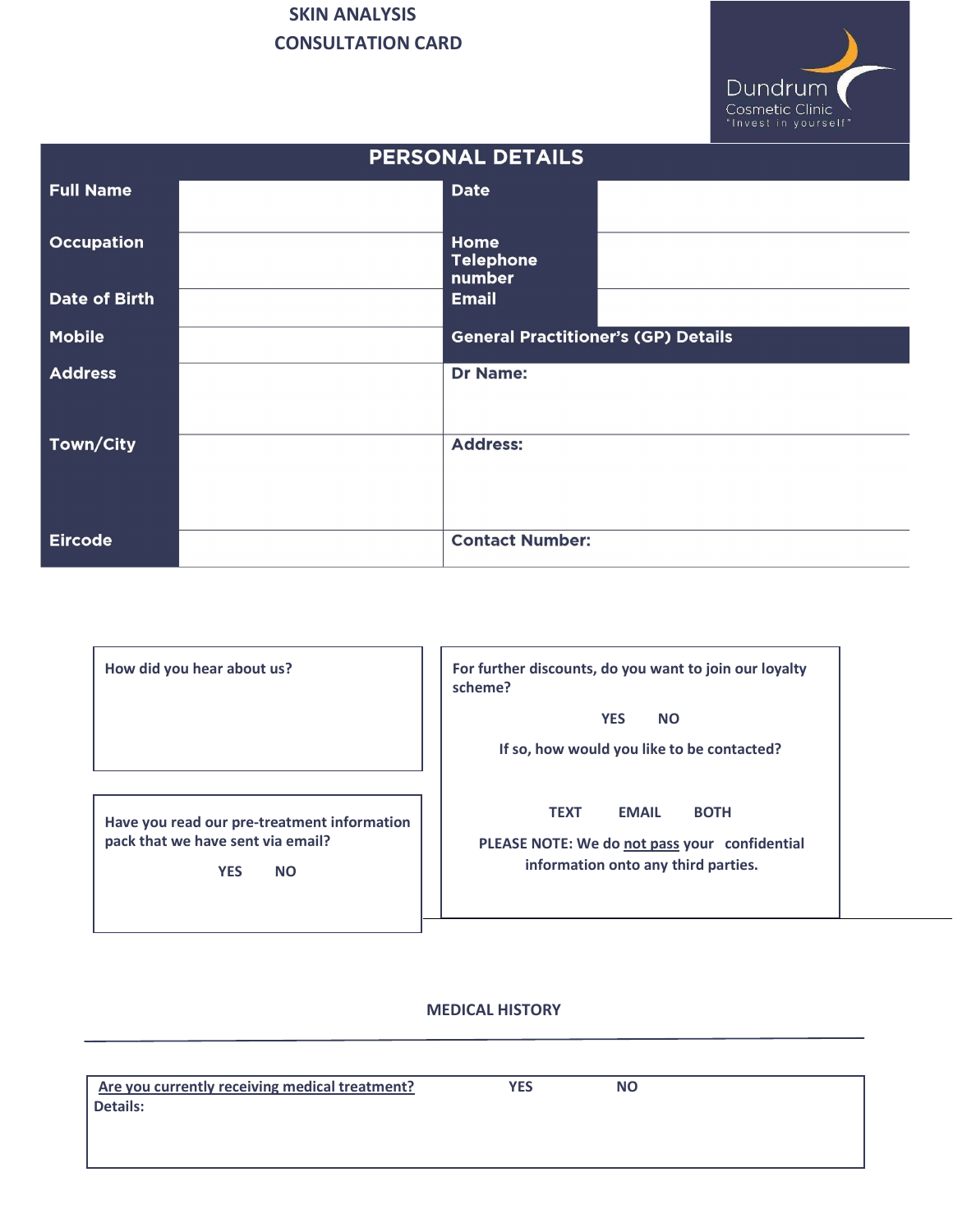

| <b>PERSONAL DETAILS</b> |  |                                            |  |  |  |
|-------------------------|--|--------------------------------------------|--|--|--|
| <b>Full Name</b>        |  | <b>Date</b>                                |  |  |  |
| <b>Occupation</b>       |  | Home<br><b>Telephone</b><br>number         |  |  |  |
| <b>Date of Birth</b>    |  | <b>Email</b>                               |  |  |  |
| <b>Mobile</b>           |  | <b>General Practitioner's (GP) Details</b> |  |  |  |
| <b>Address</b>          |  | <b>Dr Name:</b>                            |  |  |  |
| Town/City               |  | <b>Address:</b>                            |  |  |  |
| <b>Eircode</b>          |  | <b>Contact Number:</b>                     |  |  |  |

| How did you hear about us?                                                                                  | For further discounts, do you want to join our loyalty<br>scheme?                                                                  |  |  |
|-------------------------------------------------------------------------------------------------------------|------------------------------------------------------------------------------------------------------------------------------------|--|--|
|                                                                                                             | <b>YES</b><br><b>NO</b><br>If so, how would you like to be contacted?                                                              |  |  |
| Have you read our pre-treatment information<br>pack that we have sent via email?<br><b>YES</b><br><b>NO</b> | <b>BOTH</b><br><b>TEXT</b><br><b>EMAIL</b><br>PLEASE NOTE: We do not pass your confidential<br>information onto any third parties. |  |  |

#### MEDICAL HISTORY

| Are you currently receiving medical treatment? | YES | <b>NO</b> |  |
|------------------------------------------------|-----|-----------|--|
| Details:                                       |     |           |  |
|                                                |     |           |  |
|                                                |     |           |  |
|                                                |     |           |  |
|                                                |     |           |  |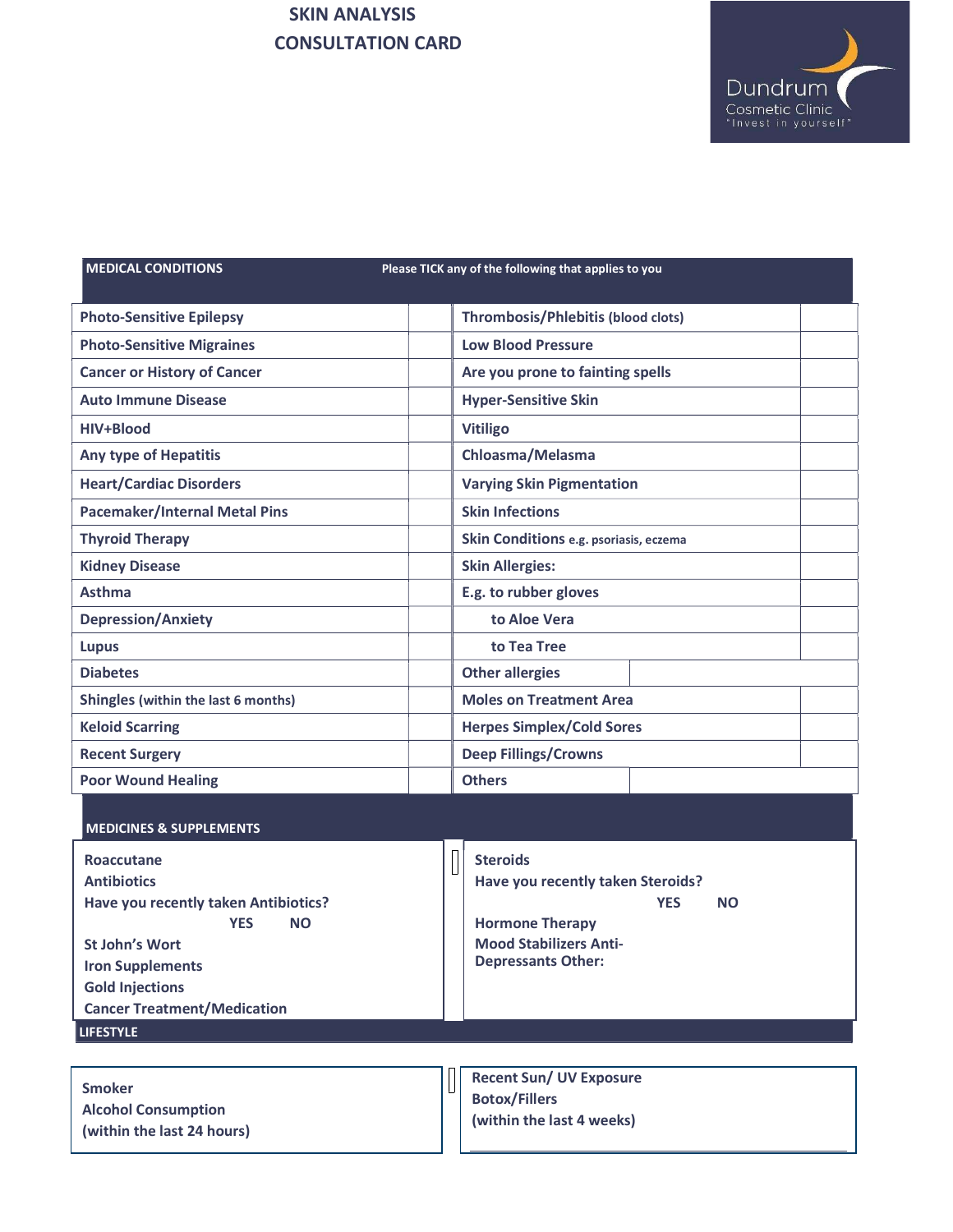

L

MEDICAL CONDITIONS Please TICK any of the following that applies to you

| <b>Photo-Sensitive Epilepsy</b>      | Thrombosis/Phlebitis (blood clots)     |  |
|--------------------------------------|----------------------------------------|--|
| <b>Photo-Sensitive Migraines</b>     | <b>Low Blood Pressure</b>              |  |
| <b>Cancer or History of Cancer</b>   | Are you prone to fainting spells       |  |
| <b>Auto Immune Disease</b>           | <b>Hyper-Sensitive Skin</b>            |  |
| HIV+Blood                            | <b>Vitiligo</b>                        |  |
| <b>Any type of Hepatitis</b>         | Chloasma/Melasma                       |  |
| <b>Heart/Cardiac Disorders</b>       | <b>Varying Skin Pigmentation</b>       |  |
| <b>Pacemaker/Internal Metal Pins</b> | <b>Skin Infections</b>                 |  |
| <b>Thyroid Therapy</b>               | Skin Conditions e.g. psoriasis, eczema |  |
| <b>Kidney Disease</b>                | <b>Skin Allergies:</b>                 |  |
| Asthma                               | E.g. to rubber gloves                  |  |
| <b>Depression/Anxiety</b>            | to Aloe Vera                           |  |
| Lupus                                | to Tea Tree                            |  |
| <b>Diabetes</b>                      | <b>Other allergies</b>                 |  |
| Shingles (within the last 6 months)  | <b>Moles on Treatment Area</b>         |  |
| <b>Keloid Scarring</b>               | <b>Herpes Simplex/Cold Sores</b>       |  |
| <b>Recent Surgery</b>                | <b>Deep Fillings/Crowns</b>            |  |
| <b>Poor Wound Healing</b>            | <b>Others</b>                          |  |

| <b>MEDICINES &amp; SUPPLEMENTS</b>                                                                                                                                                                               |  |                                                                                                                                                                         |
|------------------------------------------------------------------------------------------------------------------------------------------------------------------------------------------------------------------|--|-------------------------------------------------------------------------------------------------------------------------------------------------------------------------|
| Roaccutane<br><b>Antibiotics</b><br>Have you recently taken Antibiotics?<br><b>NO</b><br><b>YES</b><br>St John's Wort<br><b>Iron Supplements</b><br><b>Gold Injections</b><br><b>Cancer Treatment/Medication</b> |  | <b>Steroids</b><br>Have you recently taken Steroids?<br><b>YES</b><br><b>NO</b><br><b>Hormone Therapy</b><br><b>Mood Stabilizers Anti-</b><br><b>Depressants Other:</b> |
| <b>LIFESTYLE</b>                                                                                                                                                                                                 |  |                                                                                                                                                                         |
| <b>Smoker</b><br><b>Alcohol Consumption</b><br>(within the last 24 hours)                                                                                                                                        |  | <b>Recent Sun/ UV Exposure</b><br><b>Botox/Fillers</b><br>(within the last 4 weeks)                                                                                     |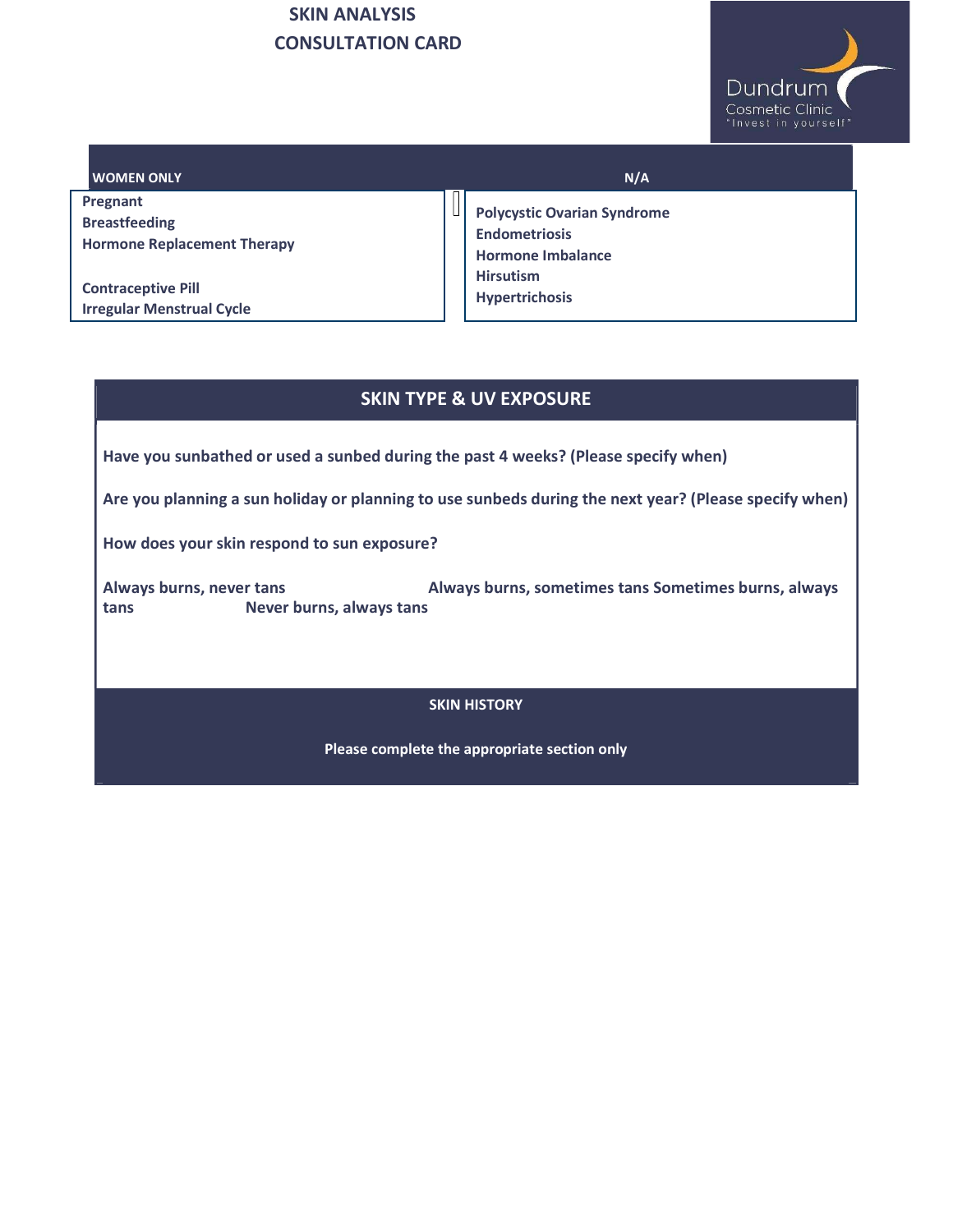

| <b>I WOMEN ONLY</b>                | N/A                                              |
|------------------------------------|--------------------------------------------------|
| Pregnant                           | Ц                                                |
| <b>Breastfeeding</b>               | <b>Polycystic Ovarian Syndrome</b>               |
| <b>Hormone Replacement Therapy</b> | <b>Endometriosis</b><br><b>Hormone Imbalance</b> |
| <b>Contraceptive Pill</b>          | <b>Hirsutism</b>                                 |
| <b>Irregular Menstrual Cycle</b>   | <b>Hypertrichosis</b>                            |

#### SKIN TYPE & UV EXPOSURE

Have you sunbathed or used a sunbed during the past 4 weeks? (Please specify when)

Are you planning a sun holiday or planning to use sunbeds during the next year? (Please specify when)

How does your skin respond to sun exposure?

Always burns, never tans **Always burns, sometimes tans Sometimes burns**, always tans Never burns, always tans

#### SKIN HISTORY

Please complete the appropriate section only